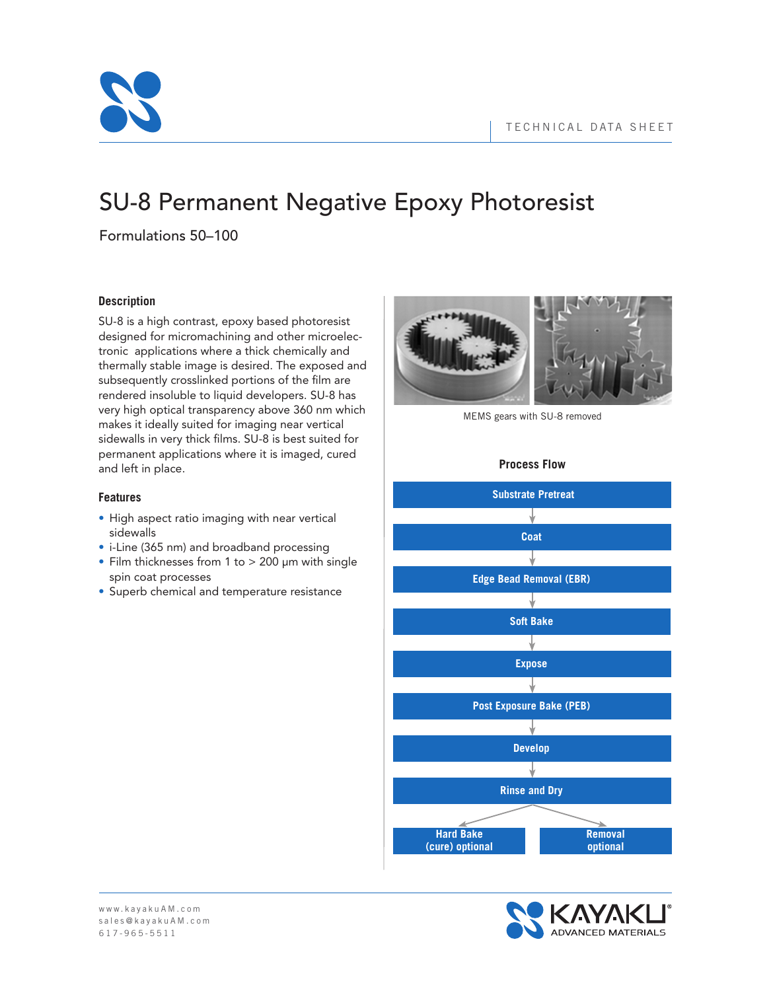

# SU-8 Permanent Negative Epoxy Photoresist

Formulations 50–100

# **Description**

SU-8 is a high contrast, epoxy based photoresist designed for micromachining and other microelectronic applications where a thick chemically and thermally stable image is desired. The exposed and subsequently crosslinked portions of the film are rendered insoluble to liquid developers. SU-8 has very high optical transparency above 360 nm which makes it ideally suited for imaging near vertical sidewalls in very thick films. SU-8 is best suited for permanent applications where it is imaged, cured and left in place.

# **Features**

- High aspect ratio imaging with near vertical sidewalls
- i-Line (365 nm) and broadband processing
- Film thicknesses from 1 to > 200 μm with single spin coat processes
- Superb chemical and temperature resistance



MEMS gears with SU-8 removed

# **Process Flow**



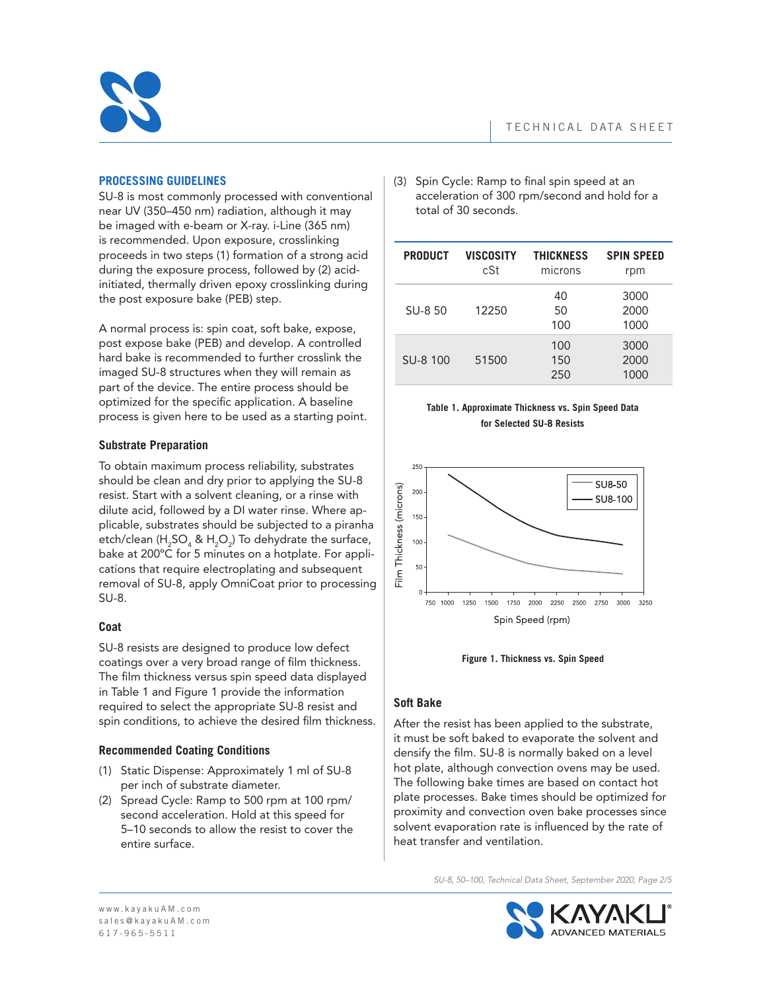

## **PROCESSING GUIDELINES**

SU-8 is most commonly processed with conventional near UV (350–450 nm) radiation, although it may be imaged with e-beam or X-ray. i-Line (365 nm) is recommended. Upon exposure, crosslinking proceeds in two steps (1) formation of a strong acid during the exposure process, followed by (2) acidinitiated, thermally driven epoxy crosslinking during the post exposure bake (PEB) step.

A normal process is: spin coat, soft bake, expose, post expose bake (PEB) and develop. A controlled hard bake is recommended to further crosslink the imaged SU-8 structures when they will remain as part of the device. The entire process should be optimized for the specific application. A baseline process is given here to be used as a starting point.

# **Substrate Preparation**

To obtain maximum process reliability, substrates should be clean and dry prior to applying the SU-8 resist. Start with a solvent cleaning, or a rinse with dilute acid, followed by a DI water rinse. Where applicable, substrates should be subjected to a piranha etch/clean (H<sub>2</sub>SO<sub>4</sub> & H<sub>2</sub>O<sub>2</sub>) To dehydrate the surface, bake at 200ºC for 5 minutes on a hotplate. For applications that require electroplating and subsequent removal of SU-8, apply OmniCoat prior to processing SU-8.

## **Coat**

SU-8 resists are designed to produce low defect coatings over a very broad range of film thickness. The film thickness versus spin speed data displayed in Table 1 and Figure 1 provide the information required to select the appropriate SU-8 resist and spin conditions, to achieve the desired film thickness.

# **Recommended Coating Conditions**

- (1) Static Dispense: Approximately 1 ml of SU-8 per inch of substrate diameter.
- (2) Spread Cycle: Ramp to 500 rpm at 100 rpm/ second acceleration. Hold at this speed for 5–10 seconds to allow the resist to cover the entire surface.

(3) Spin Cycle: Ramp to final spin speed at an acceleration of 300 rpm/second and hold for a total of 30 seconds.

| <b>PRODUCT</b> | <b>VISCOSITY</b><br>cSt | <b>THICKNESS</b><br>microns | <b>SPIN SPEED</b><br>rpm |
|----------------|-------------------------|-----------------------------|--------------------------|
| SU-8 50        | 12250                   | 40<br>50<br>100             | 3000<br>2000<br>1000     |
| SU-8 100       | 51500                   | 100<br>150<br>250           | 3000<br>2000<br>1000     |

### **Table 1. Approximate Thickness vs. Spin Speed Data for Selected SU-8 Resists**





# **Soft Bake**

After the resist has been applied to the substrate, it must be soft baked to evaporate the solvent and densify the film. SU-8 is normally baked on a level hot plate, although convection ovens may be used. The following bake times are based on contact hot plate processes. Bake times should be optimized for proximity and convection oven bake processes since solvent evaporation rate is influenced by the rate of heat transfer and ventilation.

*SU-8, 50–100, Technical Data Sheet, September 2020, Page 2/5*

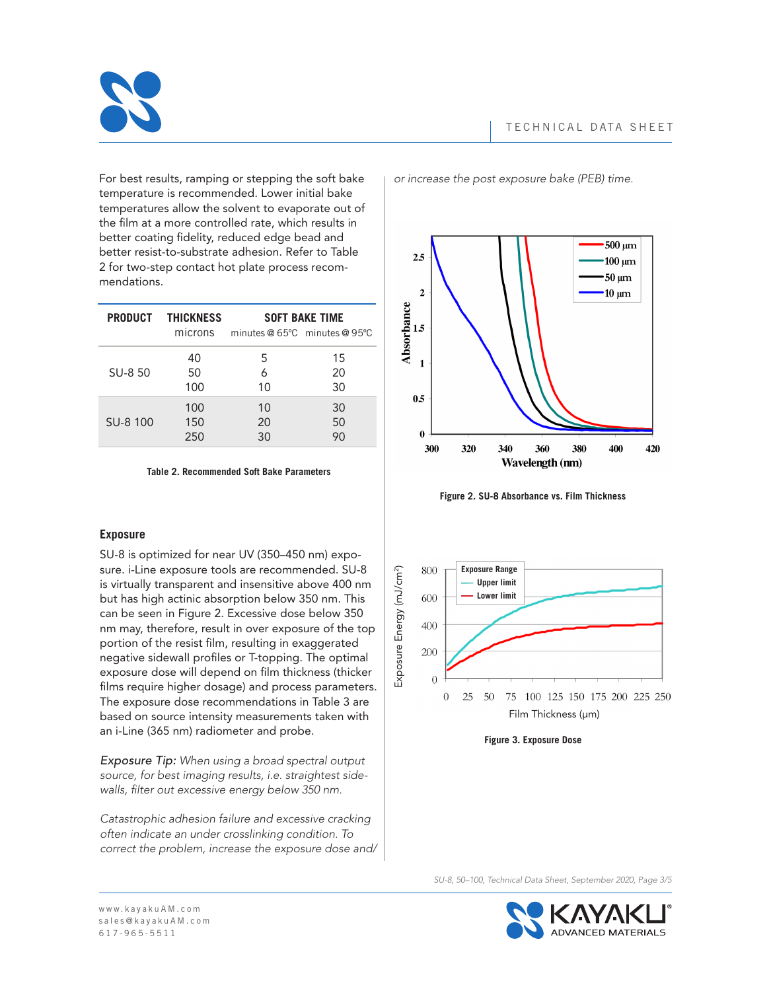

For best results, ramping or stepping the soft bake temperature is recommended. Lower initial bake temperatures allow the solvent to evaporate out of the film at a more controlled rate, which results in better coating fidelity, reduced edge bead and better resist-to-substrate adhesion. Refer to Table 2 for two-step contact hot plate process recommendations.

|          | <b>PRODUCT THICKNESS</b> | <b>SOFT BAKE TIME</b>           |    |
|----------|--------------------------|---------------------------------|----|
|          | microns                  | minutes $@65°C$ minutes $@95°C$ |    |
|          | 40                       | 5                               | 15 |
| SU-8 50  | 50                       | 6                               | 20 |
|          | 100                      | 10                              | 30 |
|          | 100                      | 10                              | 30 |
| SU-8 100 | 150                      | 20                              | 50 |
|          | 250                      | 30                              | 90 |

**Table 2. Recommended Soft Bake Parameters**

# **Exposure**

SU-8 is optimized for near UV (350–450 nm) exposure. i-Line exposure tools are recommended. SU-8 is virtually transparent and insensitive above 400 nm but has high actinic absorption below 350 nm. This can be seen in Figure 2. Excessive dose below 350 nm may, therefore, result in over exposure of the top portion of the resist film, resulting in exaggerated negative sidewalI profiles or T-topping. The optimal exposure dose will depend on film thickness (thicker films require higher dosage) and process parameters. The exposure dose recommendations in Table 3 are based on source intensity measurements taken with an i-Line (365 nm) radiometer and probe.

*Exposure Tip: When using a broad spectral output source, for best imaging results, i.e. straightest sidewalls, filter out excessive energy below 350 nm.*

*Catastrophic adhesion failure and excessive cracking often indicate an under crosslinking condition. To correct the problem, increase the exposure dose and/* *or increase the post exposure bake (PEB) time.*



**Figure 2. SU-8 Absorbance vs. Film Thickness**





*SU-8, 50–100, Technical Data Sheet, September 2020, Page 3/5*

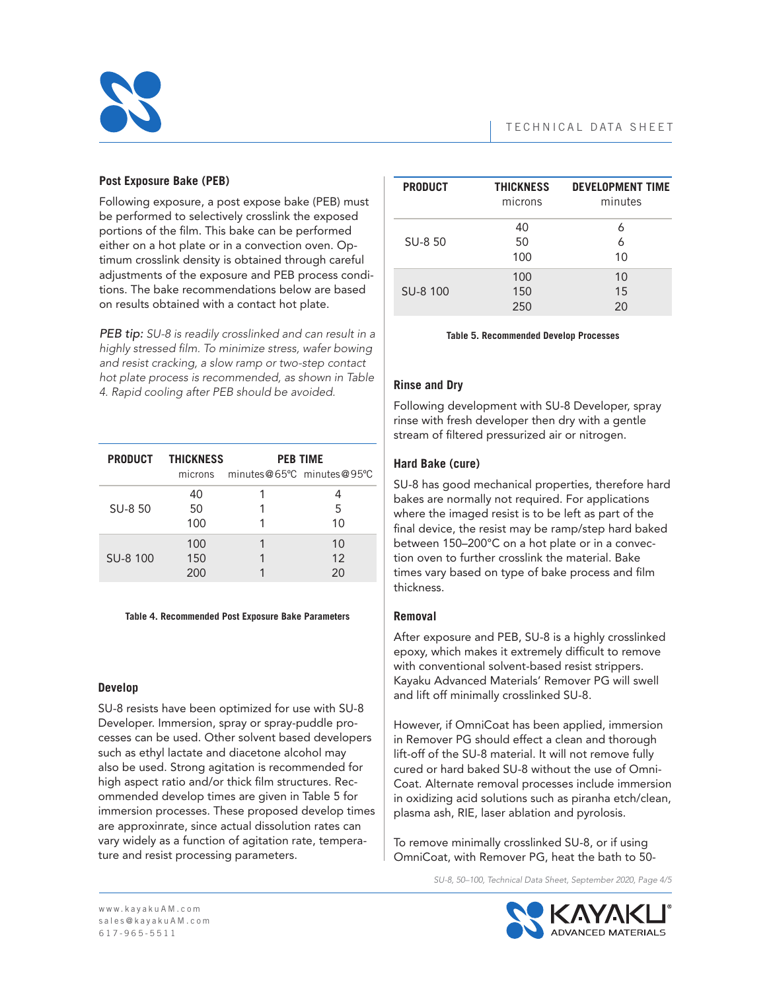

## **Post Exposure Bake (PEB)**

Following exposure, a post expose bake (PEB) must be performed to selectively crosslink the exposed portions of the film. This bake can be performed either on a hot plate or in a convection oven. Optimum crosslink density is obtained through careful adjustments of the exposure and PEB process conditions. The bake recommendations below are based on results obtained with a contact hot plate.

*PEB tip: SU-8 is readily crosslinked and can result in a highly stressed film. To minimize stress, wafer bowing and resist cracking, a slow ramp or two-step contact hot plate process is recommended, as shown in Table 4. Rapid cooling after PEB should be avoided.*

|          | <b>PRODUCT THICKNESS</b> | <b>PEB TIME</b>                   |    |
|----------|--------------------------|-----------------------------------|----|
|          |                          | microns minutes@65°C minutes@95°C |    |
| SU-8 50  | 40                       |                                   |    |
|          | 50                       |                                   | 5  |
|          | 100                      |                                   | 10 |
| SU-8 100 | 100                      |                                   | 10 |
|          | 150                      |                                   | 12 |
|          | 200                      |                                   | 20 |

#### **Table 4. Recommended Post Exposure Bake Parameters**

## **Develop**

SU-8 resists have been optimized for use with SU-8 Developer. Immersion, spray or spray-puddle processes can be used. Other solvent based developers such as ethyl lactate and diacetone alcohol may also be used. Strong agitation is recommended for high aspect ratio and/or thick film structures. Recommended develop times are given in Table 5 for immersion processes. These proposed develop times are approxinrate, since actual dissolution rates can vary widely as a function of agitation rate, temperature and resist processing parameters.

| <b>PRODUCT</b> | <b>THICKNESS</b><br>microns | <b>DEVELOPMENT TIME</b><br>minutes |
|----------------|-----------------------------|------------------------------------|
| SU-8 50        | 40<br>50<br>100             | 6<br>6<br>10                       |
| SU-8 100       | 100<br>150<br>250           | 10<br>1.5<br>20                    |

**Table 5. Recommended Develop Processes**

## **Rinse and Dry**

Following development with SU-8 Developer, spray rinse with fresh developer then dry with a gentle stream of filtered pressurized air or nitrogen.

## **Hard Bake (cure)**

SU-8 has good mechanical properties, therefore hard bakes are normally not required. For applications where the imaged resist is to be left as part of the final device, the resist may be ramp/step hard baked between 150–200°C on a hot plate or in a convection oven to further crosslink the material. Bake times vary based on type of bake process and film thickness.

## **Removal**

After exposure and PEB, SU-8 is a highly crosslinked epoxy, which makes it extremely difficult to remove with conventional solvent-based resist strippers. Kayaku Advanced Materials' Remover PG will swell and lift off minimally crosslinked SU-8.

However, if OmniCoat has been applied, immersion in Remover PG should effect a clean and thorough lift-off of the SU-8 material. It will not remove fully cured or hard baked SU-8 without the use of Omni-Coat. Alternate removal processes include immersion in oxidizing acid solutions such as piranha etch/clean, plasma ash, RIE, laser ablation and pyrolosis.

To remove minimally crosslinked SU-8, or if using OmniCoat, with Remover PG, heat the bath to 50-

*SU-8, 50–100, Technical Data Sheet, September 2020, Page 4/5*